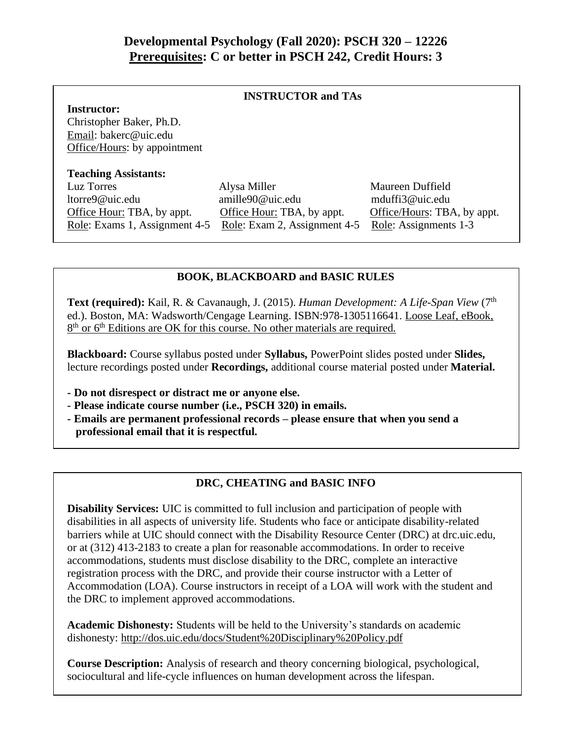## **Developmental Psychology (Fall 2020): PSCH 320 – 12226 Prerequisites: C or better in PSCH 242, Credit Hours: 3**

#### **INSTRUCTOR and TAs**

**Instructor:** Christopher Baker, Ph.D. Email: bakerc@uic.edu Office/Hours: by appointment

#### **Teaching Assistants:**

ltorre9@uic.edu amille90@uic.edu mduffi3@uic.edu Office Hour: TBA, by appt. Office Hour: TBA, by appt. Office/Hours: TBA, by appt. Role: Exams 1, Assignment 4-5 Role: Exam 2, Assignment 4-5 Role: Assignments 1-3

Luz Torres Alysa Miller Maureen Duffield

#### **BOOK, BLACKBOARD and BASIC RULES**

**Text (required):** Kail, R. & Cavanaugh, J. (2015). *Human Development: A Life-Span View* (7<sup>th</sup>) ed.). Boston, MA: Wadsworth/Cengage Learning. ISBN:978-1305116641. Loose Leaf, eBook, 8<sup>th</sup> or 6<sup>th</sup> Editions are OK for this course. No other materials are required.

**Blackboard:** Course syllabus posted under **Syllabus,** PowerPoint slides posted under **Slides,**  lecture recordings posted under **Recordings,** additional course material posted under **Material.** 

- **- Do not disrespect or distract me or anyone else.**
- **- Please indicate course number (i.e., PSCH 320) in emails.**
- **- Emails are permanent professional records – please ensure that when you send a professional email that it is respectful.**

### **DRC, CHEATING and BASIC INFO**

**Disability Services:** UIC is committed to full inclusion and participation of people with disabilities in all aspects of university life. Students who face or anticipate disability-related barriers while at UIC should connect with the Disability Resource Center (DRC) at drc.uic.edu, or at (312) 413-2183 to create a plan for reasonable accommodations. In order to receive accommodations, students must disclose disability to the DRC, complete an interactive registration process with the DRC, and provide their course instructor with a Letter of Accommodation (LOA). Course instructors in receipt of a LOA will work with the student and the DRC to implement approved accommodations.

**Academic Dishonesty:** Students will be held to the University's standards on academic dishonesty: http://dos.uic.edu/docs/Student%20Disciplinary%20Policy.pdf

**Course Description:** Analysis of research and theory concerning biological, psychological, sociocultural and life-cycle influences on human development across the lifespan.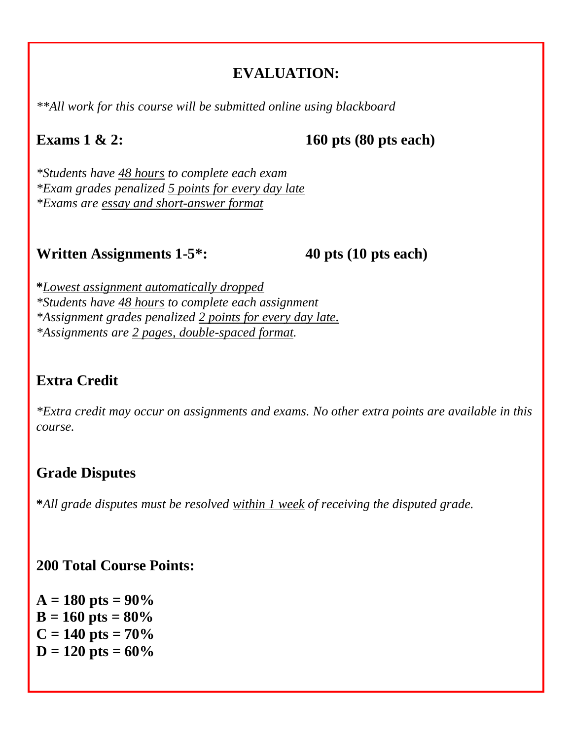## **EVALUATION:**

*\*\*All work for this course will be submitted online using blackboard*

## **Exams** 1 & 2: 160 pts (80 pts each)

*\*Students have 48 hours to complete each exam \*Exam grades penalized 5 points for every day late \*Exams are essay and short-answer format*

## **Written Assignments 1-5\*: 40 pts (10 pts each)**

**\****Lowest assignment automatically dropped \*Students have 48 hours to complete each assignment \*Assignment grades penalized 2 points for every day late. \*Assignments are 2 pages, double-spaced format.* 

# **Extra Credit**

*\*Extra credit may occur on assignments and exams. No other extra points are available in this course.*

# **Grade Disputes**

**\****All grade disputes must be resolved within 1 week of receiving the disputed grade.*

## **200 Total Course Points:**

 $A = 180$  pts =  $90\%$  $B = 160$  pts =  $80\%$  $C = 140$  pts =  $70\%$  $D = 120$  pts =  $60\%$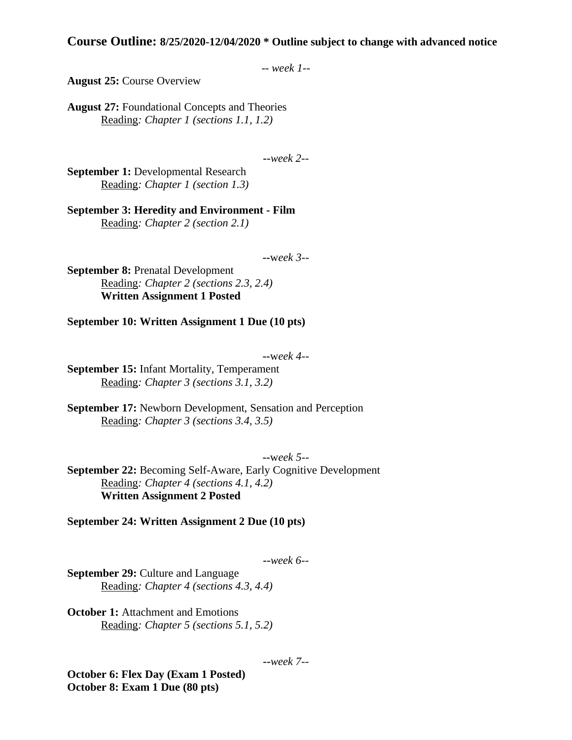#### **Course Outline: 8/25/2020-12/04/2020 \* Outline subject to change with advanced notice**

```
-- week 1--
```
**August 25:** Course Overview

**August 27:** Foundational Concepts and Theories Reading*: Chapter 1 (sections 1.1, 1.2)*

**--***week 2--*

**September 1:** Developmental Research Reading*: Chapter 1 (section 1.3)*

**September 3: Heredity and Environment - Film** Reading*: Chapter 2 (section 2.1)*

**--**w*eek 3--*

**September 8: Prenatal Development** Reading*: Chapter 2 (sections 2.3, 2.4)* **Written Assignment 1 Posted**

**September 10: Written Assignment 1 Due (10 pts)**

#### **--**w*eek 4--*

**September 15:** Infant Mortality, Temperament Reading*: Chapter 3 (sections 3.1, 3.2)*

**September 17:** Newborn Development, Sensation and Perception Reading*: Chapter 3 (sections 3.4, 3.5)*

**--**w*eek 5--*

**September 22:** Becoming Self-Aware, Early Cognitive Development Reading*: Chapter 4 (sections 4.1, 4.2)* **Written Assignment 2 Posted**

**September 24: Written Assignment 2 Due (10 pts)**

**--***week 6--*

**September 29:** Culture and Language Reading*: Chapter 4 (sections 4.3, 4.4)*

**October 1: Attachment and Emotions** Reading*: Chapter 5 (sections 5.1, 5.2)*

**--***week 7--*

**October 6: Flex Day (Exam 1 Posted) October 8: Exam 1 Due (80 pts)**